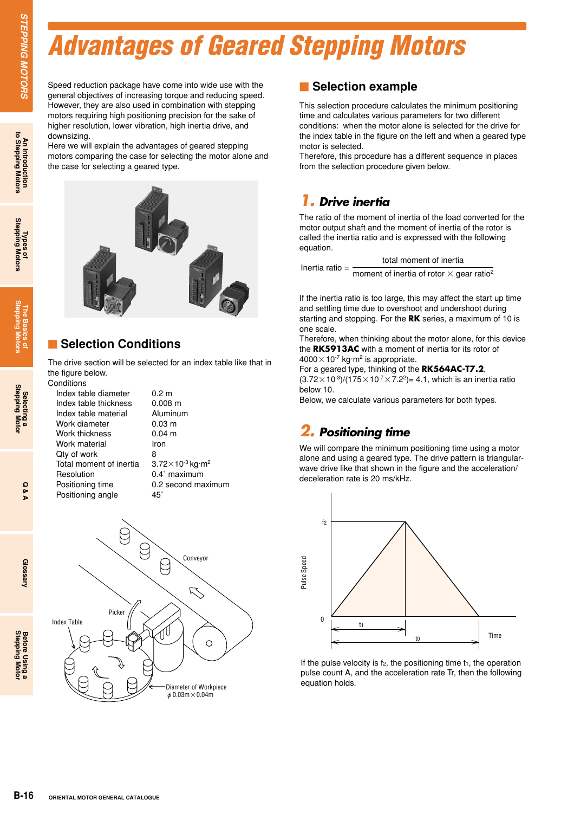### *Advantages of Geared Stepping Motors*

**STEPPING MOTORS** 

downsizing.

**The Basics of Stepping Motors**



Speed reduction package have come into wide use with the general objectives of increasing torque and reducing speed. However, they are also used in combination with stepping motors requiring high positioning precision for the sake of higher resolution, lower vibration, high inertia drive, and

Here we will explain the advantages of geared stepping motors comparing the case for selecting the motor alone and

#### -**Selection Conditions**

the case for selecting a geared type.

The drive section will be selected for an index table like that in the figure below.

| Conditions              |                   |
|-------------------------|-------------------|
| Index table diameter    | 0.2 m             |
| Index table thickness   | $0.008 \; m$      |
| Index table material    | Aluminu           |
| Work diameter           | $0.03 \; m$       |
| Work thickness          | $0.04 \text{ m}$  |
| Work material           | Iron              |
| Qty of work             | 8                 |
| Total moment of inertia | $3.72\times10$    |
| Resolution              | $0.4^{\circ}$ max |
| Positioning time        | $0.2$ secc        |
| Positioning angle       | 45°               |
|                         |                   |

inum  $\times$ 10<sup>-3</sup> ka $\cdot$ m<sup>2</sup> maximum econd maximum



#### **E** Selection example

This selection procedure calculates the minimum positioning time and calculates various parameters for two different conditions: when the motor alone is selected for the drive for the index table in the figure on the left and when a geared type motor is selected.

Therefore, this procedure has a different sequence in places from the selection procedure given below.

#### *1. Drive inertia*

The ratio of the moment of inertia of the load converted for the motor output shaft and the moment of inertia of the rotor is called the inertia ratio and is expressed with the following equation.

Inertia ratio = total moment of inertia moment of inertia of rotor  $\times$  gear ratio<sup>2</sup>

If the inertia ratio is too large, this may affect the start up time and settling time due to overshoot and undershoot during starting and stopping. For the **RK** series, a maximum of 10 is one scale.

Therefore, when thinking about the motor alone, for this device the **RK5913AC** with a moment of inertia for its rotor of  $4000\times10^{-7}$  kg·m<sup>2</sup> is appropriate.

For a geared type, thinking of the **RK564AC-T7.2**,  $(3.72 \times 10^{-3})/(175 \times 10^{-7} \times 7.2^2) = 4.1$ , which is an inertia ratio below 10.

Below, we calculate various parameters for both types.

#### *2. Positioning time*

We will compare the minimum positioning time using a motor alone and using a geared type. The drive pattern is triangularwave drive like that shown in the figure and the acceleration/ deceleration rate is 20 ms/kHz.



If the pulse velocity is  $f_2$ , the positioning time  $t_1$ , the operation pulse count A, and the acceleration rate Tr, then the following equation holds.

Glossary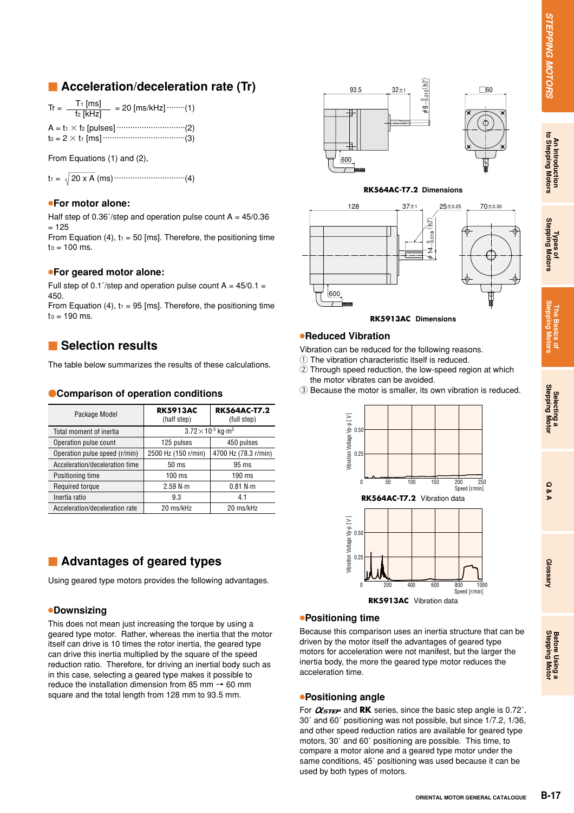#### **E** Acceleration/deceleration rate (Tr)

| $Tr =$ | $T_1$ [ms]<br>$f2$ [kHz] | $= 20$ [ms/kHz] $\cdots$ (1) |
|--------|--------------------------|------------------------------|
|        |                          |                              |
|        |                          |                              |

From Equations (1) and (2),

 $t_1 = \sqrt{20 \times A}$  (ms)  $\cdots$  (4)

#### ●**For motor alone:**

Half step of 0.36 $\degree$ /step and operation pulse count A = 45/0.36  $= 125$ 

From Equation (4),  $t_1 = 50$  [ms]. Therefore, the positioning time  $to = 100$  ms.

#### ●**For geared motor alone:**

Full step of 0.1 $\degree$ /step and operation pulse count A = 45/0.1 = 450.

From Equation (4),  $t_1 = 95$  [ms]. Therefore, the positioning time  $to = 190$  ms.

#### **E** Selection results

The table below summarizes the results of these calculations.

#### **Comparison of operation conditions**

| Package Model                  | <b>RK5913AC</b><br>(half step)          | <b>RK564AC-T7.2</b><br>(full step) |  |
|--------------------------------|-----------------------------------------|------------------------------------|--|
| Total moment of inertia        | $3.72 \times 10^{-3}$ kg m <sup>2</sup> |                                    |  |
| Operation pulse count          | 125 pulses                              | 450 pulses                         |  |
| Operation pulse speed (r/min)  | 2500 Hz (150 r/min)                     | 4700 Hz (78.3 r/min)               |  |
| Acceleration/deceleration time | 50 <sub>ms</sub>                        | 95 ms                              |  |
| Positioning time               | $100 \text{ ms}$                        | $190$ ms                           |  |
| Required torque                | 2.59 N·m                                | 0.81 N·m                           |  |
| Inertia ratio                  | 9.3                                     | 4.1                                |  |
| Acceleration/deceleration rate | 20 ms/kHz                               | 20 ms/kHz                          |  |

#### **E** Advantages of geared types

Using geared type motors provides the following advantages.

#### ●**Downsizing**

This does not mean just increasing the torque by using a geared type motor. Rather, whereas the inertia that the motor itself can drive is 10 times the rotor inertia, the geared type can drive this inertia multiplied by the square of the speed reduction ratio. Therefore, for driving an inertial body such as in this case, selecting a geared type makes it possible to reduce the installation dimension from 85 mm  $\rightarrow$  60 mm square and the total length from 128 mm to 93.5 mm.



#### **RK564AC-T7.2 Dimensions**



**RK5913AC Dimensions**

#### ●**Reduced Vibration**

Vibration can be reduced for the following reasons.

- 1 The vibration characteristic itself is reduced.
- 2 Through speed reduction, the low-speed region at which the motor vibrates can be avoided.
- 3 Because the motor is smaller, its own vibration is reduced.



#### ●**Positioning time**

Because this comparison uses an inertia structure that can be driven by the motor itself the advantages of geared type motors for acceleration were not manifest, but the larger the inertia body, the more the geared type motor reduces the acceleration time.

#### ●**Positioning angle**

For  $\alpha_{STEP}$  and **RK** series, since the basic step angle is 0.72°, 30˚ and 60˚ positioning was not possible, but since 1/7.2, 1/36, and other speed reduction ratios are available for geared type motors, 30˚ and 60˚ positioning are possible. This time, to compare a motor alone and a geared type motor under the same conditions, 45˚ positioning was used because it can be used by both types of motors.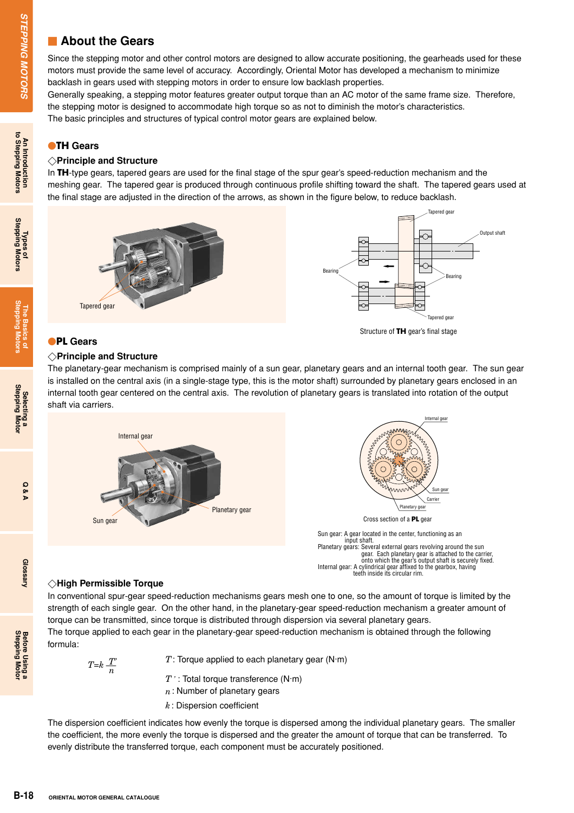#### **Exercise About the Gears**

Since the stepping motor and other control motors are designed to allow accurate positioning, the gearheads used for these motors must provide the same level of accuracy. Accordingly, Oriental Motor has developed a mechanism to minimize backlash in gears used with stepping motors in order to ensure low backlash properties.

Generally speaking, a stepping motor features greater output torque than an AC motor of the same frame size. Therefore, the stepping motor is designed to accommodate high torque so as not to diminish the motor's characteristics. The basic principles and structures of typical control motor gears are explained below.

#### **TH Gears**

#### **Principle and Structure**

In **TH**-type gears, tapered gears are used for the final stage of the spur gear's speed-reduction mechanism and the meshing gear. The tapered gear is produced through continuous profile shifting toward the shaft. The tapered gears used at the final stage are adjusted in the direction of the arrows, as shown in the figure below, to reduce backlash.



#### **PL Gears**

#### **Principle and Structure**

The planetary-gear mechanism is comprised mainly of a sun gear, planetary gears and an internal tooth gear. The sun gear is installed on the central axis (in a single-stage type, this is the motor shaft) surrounded by planetary gears enclosed in an internal tooth gear centered on the central axis. The revolution of planetary gears is translated into rotation of the output shaft via carriers.



#### **High Permissible Torque**

In conventional spur-gear speed-reduction mechanisms gears mesh one to one, so the amount of torque is limited by the strength of each single gear. On the other hand, in the planetary-gear speed-reduction mechanism a greater amount of torque can be transmitted, since torque is distributed through dispersion via several planetary gears.

teeth inside its circular rim.

The torque applied to each gear in the planetary-gear speed-reduction mechanism is obtained through the following formula:

$$
T = k \frac{T'}{n}
$$

*T*: Torque applied to each planetary gear (N·m)

- *T***'**: Total torque transference (N·m)
- *n*: Number of planetary gears
- *k*: Dispersion coefficient

The dispersion coefficient indicates how evenly the torque is dispersed among the individual planetary gears. The smaller the coefficient, the more evenly the torque is dispersed and the greater the amount of torque that can be transferred. To evenly distribute the transferred torque, each component must be accurately positioned.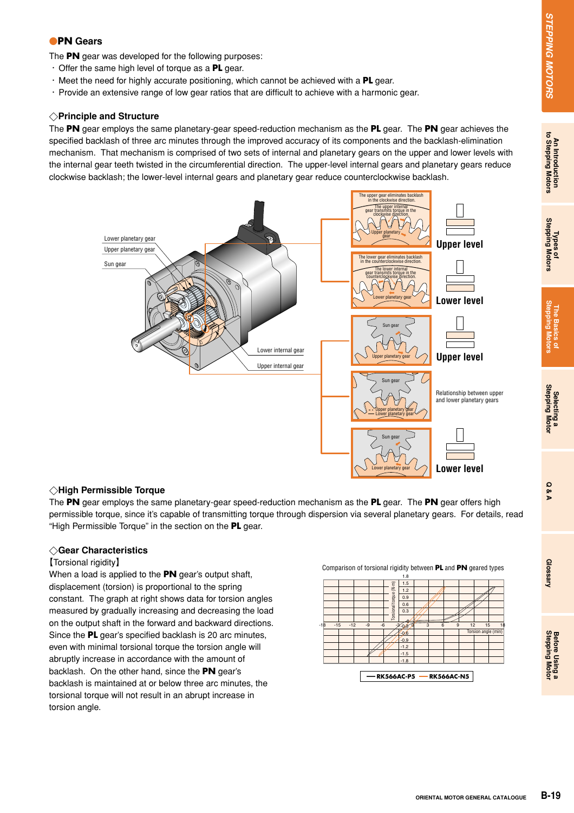## An Introduction<br>to Stepping Motors

#### **PN Gears**

The **PN** gear was developed for the following purposes:

- **・**Offer the same high level of torque as a **PL** gear.
- **・**Meet the need for highly accurate positioning, which cannot be achieved with a **PL** gear.
- **・**Provide an extensive range of low gear ratios that are difficult to achieve with a harmonic gear.

#### **Principle and Structure**

The **PN** gear employs the same planetary-gear speed-reduction mechanism as the **PL** gear. The **PN** gear achieves the specified backlash of three arc minutes through the improved accuracy of its components and the backlash-elimination mechanism. That mechanism is comprised of two sets of internal and planetary gears on the upper and lower levels with the internal gear teeth twisted in the circumferential direction. The upper-level internal gears and planetary gears reduce clockwise backlash; the lower-level internal gears and planetary gear reduce counterclockwise backlash.



#### **High Permissible Torque**

The **PN** gear employs the same planetary-gear speed-reduction mechanism as the **PL** gear. The **PN** gear offers high permissible torque, since it's capable of transmitting torque through dispersion via several planetary gears. For details, read "High Permissible Torque" in the section on the **PL** gear.

#### **Gear Characteristics**

#### **【**Torsional rigidity**】**

When a load is applied to the **PN** gear's output shaft, displacement (torsion) is proportional to the spring constant. The graph at right shows data for torsion angles measured by gradually increasing and decreasing the load on the output shaft in the forward and backward directions. Since the **PL** gear's specified backlash is 20 arc minutes, even with minimal torsional torque the torsion angle will abruptly increase in accordance with the amount of backlash. On the other hand, since the **PN** gear's backlash is maintained at or below three arc minutes, the torsional torque will not result in an abrupt increase in torsion angle.

Comparison of torsional rigidity between **PL** and **PN** geared types

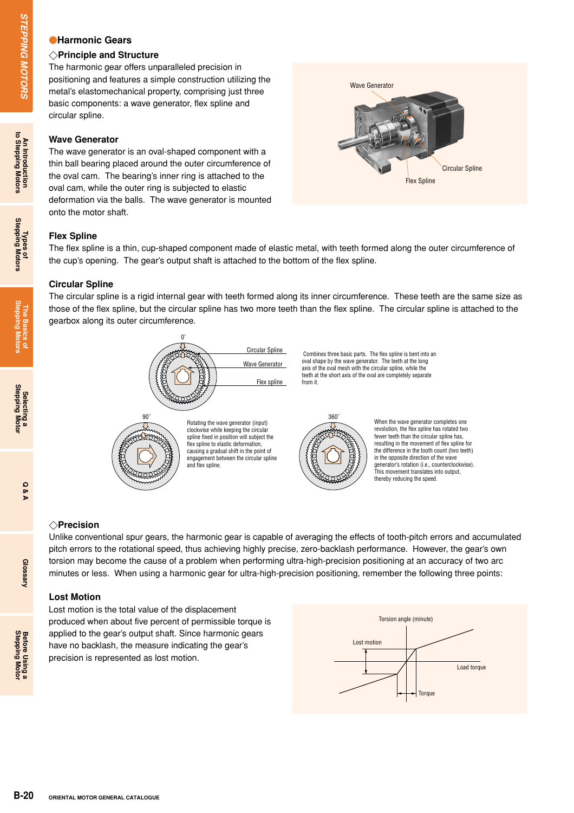#### **Harmonic Gears**

#### **Principle and Structure**

The harmonic gear offers unparalleled precision in positioning and features a simple construction utilizing the metal's elastomechanical property, comprising just three basic components: a wave generator, flex spline and circular spline.

#### **Wave Generator**

**Channonic Gears**<br>
The harmonic gear offers unpositioning and structure<br>
The harmonic gear offers unpositioning and features a simple and Structure<br>
mosticonoments: a wave generator<br>
direct are proported around the proport The wave generator is an oval-shaped component with a thin ball bearing placed around the outer circumference of the oval cam. The bearing's inner ring is attached to the oval cam, while the outer ring is subjected to elastic deformation via the balls. The wave generator is mounted onto the motor shaft.



#### **Flex Spline**

The flex spline is a thin, cup-shaped component made of elastic metal, with teeth formed along the outer circumference of the cup's opening. The gear's output shaft is attached to the bottom of the flex spline.

#### **Circular Spline**

The circular spline is a rigid internal gear with teeth formed along its inner circumference. These teeth are the same size as those of the flex spline, but the circular spline has two more teeth than the flex spline. The circular spline is attached to the gearbox along its outer circumference.



 Combines three basic parts. The flex spline is bent into an oval shape by the wave generator. The teeth at the long axis of the oval mesh with the circular spline, while the teeth at the short axis of the oval are completely separate from it.



When the wave generator completes one revolution, the flex spline has rotated two fewer teeth than the circular spline has, resulting in the movement of flex spline for the difference in the tooth count (two teeth) in the opposite direction of the wave generator's rotation (i.e., counterclockwise). This movement translates into output, thereby reducing the speed.

#### **Precision**

Unlike conventional spur gears, the harmonic gear is capable of averaging the effects of tooth-pitch errors and accumulated pitch errors to the rotational speed, thus achieving highly precise, zero-backlash performance. However, the gear's own torsion may become the cause of a problem when performing ultra-high-precision positioning at an accuracy of two arc minutes or less. When using a harmonic gear for ultra-high-precision positioning, remember the following three points:

#### **Lost Motion**

Lost motion is the total value of the displacement produced when about five percent of permissible torque is applied to the gear's output shaft. Since harmonic gears have no backlash, the measure indicating the gear's precision is represented as lost motion.

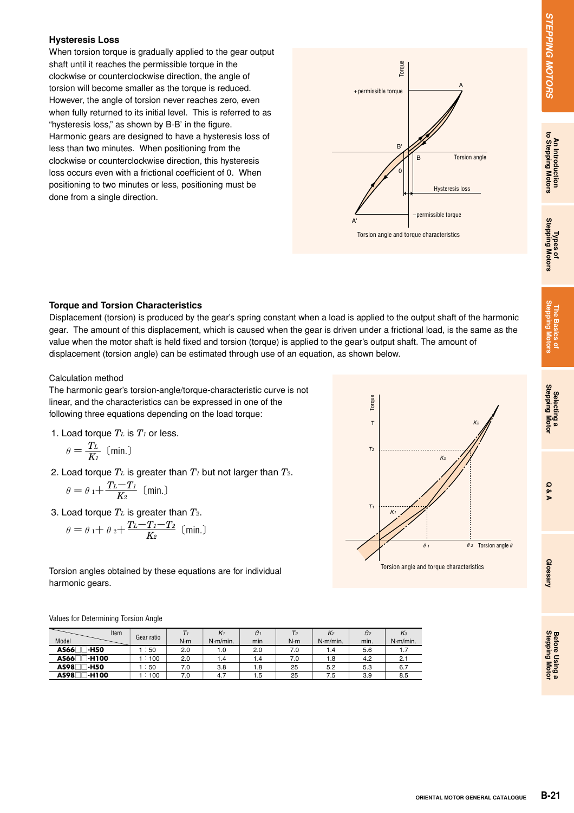# **STEPPING MOTORS**

## **Before Using a**<br>Stepping Motor

#### **Hysteresis Loss**

When torsion torque is gradually applied to the gear output shaft until it reaches the permissible torque in the clockwise or counterclockwise direction, the angle of torsion will become smaller as the torque is reduced. However, the angle of torsion never reaches zero, even when fully returned to its initial level. This is referred to as "hysteresis loss," as shown by B-B' in the figure. Harmonic gears are designed to have a hysteresis loss of less than two minutes. When positioning from the clockwise or counterclockwise direction, this hysteresis loss occurs even with a frictional coefficient of 0. When positioning to two minutes or less, positioning must be done from a single direction.



#### **Torque and Torsion Characteristics**

Displacement (torsion) is produced by the gear's spring constant when a load is applied to the output shaft of the harmonic gear. The amount of this displacement, which is caused when the gear is driven under a frictional load, is the same as the value when the motor shaft is held fixed and torsion (torque) is applied to the gear's output shaft. The amount of displacement (torsion angle) can be estimated through use of an equation, as shown below.

#### Calculation method

The harmonic gear's torsion-angle/torque-characteristic curve is not linear, and the characteristics can be expressed in one of the following three equations depending on the load torque:

1. Load torque  $T_L$  is  $T_I$  or less.

$$
\theta = \frac{T_L}{K_I} \text{ (min.)}
$$

2. Load torque *TL* is greater than *T1* but not larger than *T2*.

$$
\theta = \theta_1 + \frac{T_L - T_I}{K_2} \text{ (min.)}
$$

3. Load torque *TL* is greater than *T2*.

$$
\theta = \theta_1 + \theta_2 + \frac{T_L - T_I - T_2}{K_2} \text{ (min.)}
$$

Torsion angles obtained by these equations are for individual harmonic gears.

Values for Determining Torsion Angle

| Item<br>Model            | Gear ratio       | N·m | $K_1$<br>$N·m/min$ . | $\theta_1$<br>min | T2<br>N·m | K2<br>$N·m/min$ . | $\theta$ <sub>2</sub><br>min. | $K_3$<br>$N·m/min$ . |
|--------------------------|------------------|-----|----------------------|-------------------|-----------|-------------------|-------------------------------|----------------------|
| AS66□□-H50               | $\therefore$ 50  | 2.0 | 1.0                  | 2.0               | 7.0       | 1.4               | 5.6                           |                      |
| AS66 <sup>-1</sup> -H100 | 100              | 2.0 | 1.4                  | 1.4               | 7.0       | 1.8               | 4.2                           |                      |
| AS98<br>∃-H50            | $\frac{1}{2}$ 50 | 7.0 | 3.8                  | 1.8               | 25        | 5.2               | 5.3                           | 6.7                  |
| AS981<br><b>H100</b>     | 100              | 7.0 | 4.7                  | 1.5               | 25        | 7.5               | 3.9                           | 8.5                  |

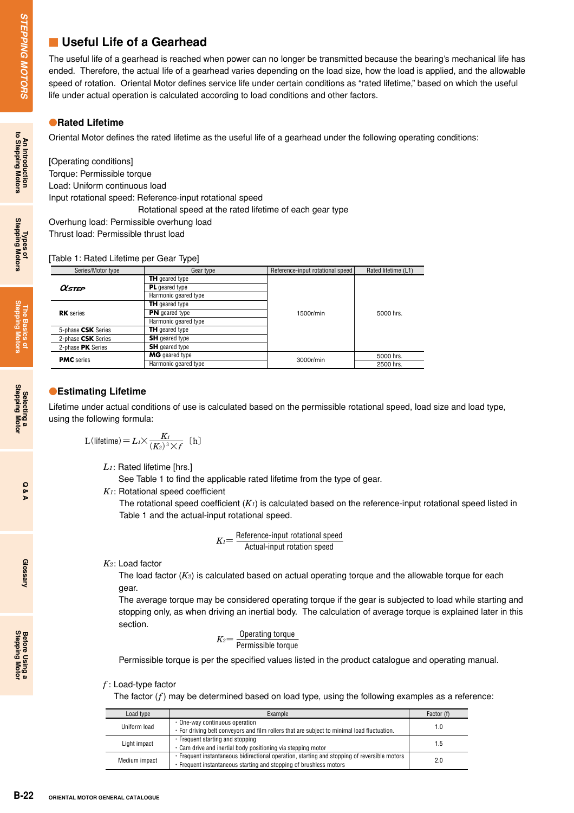#### **Late 3 Useful Life of a Gearhead**

The useful life of a gearhead is reached when power can no longer be transmitted because the bearing's mechanical life has ended. Therefore, the actual life of a gearhead varies depending on the load size, how the load is applied, and the allowable speed of rotation. Oriental Motor defines service life under certain conditions as "rated lifetime," based on which the useful life under actual operation is calculated according to load conditions and other factors.

#### **• Rated Lifetime**

Oriental Motor defines the rated lifetime as the useful life of a gearhead under the following operating conditions:

[Operating conditions] Torque: Permissible torque Load: Uniform continuous load Input rotational speed: Reference-input rotational speed : Rotational speed at the rated lifetime of each gear type Overhung load: Permissible overhung load

Thrust load: Permissible thrust load

[Table 1: Rated Lifetime per Gear Type]

|        | Series/Motor type | Gear type             | Reference-input rotational speed | Rated lifetime (L1) |
|--------|-------------------|-----------------------|----------------------------------|---------------------|
|        |                   | <b>TH</b> geared type |                                  |                     |
| Olstep |                   | <b>PL</b> geared type |                                  |                     |
|        |                   | Harmonic geared type  |                                  |                     |
|        |                   | <b>TH</b> geared type |                                  |                     |
|        | <b>RK</b> series  | <b>PN</b> geared type | 1500r/min                        | 5000 hrs.           |
|        |                   | .                     |                                  |                     |

|                           | Harmonic geared type  |           |           |
|---------------------------|-----------------------|-----------|-----------|
| 5-phase <b>CSK</b> Series | <b>TH</b> geared type |           |           |
| 2-phase <b>CSK</b> Series | <b>SH</b> geared type |           |           |
| 2-phase <b>PK</b> Series  | <b>SH</b> geared type |           |           |
|                           | <b>MG</b> geared type |           | 5000 hrs. |
| <b>PMC</b> series         | Harmonic geared type  | 3000r/min | 2500 hrs. |
|                           |                       |           |           |

#### **Estimating Lifetime**

Lifetime under actual conditions of use is calculated based on the permissible rotational speed, load size and load type, using the following formula:

$$
L(\text{lifetime}) = L_1 \times \frac{K_1}{(K_2)^3 \times f} \quad \text{(h)}
$$

*L1*: Rated lifetime [hrs.]

See Table 1 to find the applicable rated lifetime from the type of gear.

*K1*: Rotational speed coefficient

The rotational speed coefficient (*K1*) is calculated based on the reference-input rotational speed listed in Table 1 and the actual-input rotational speed.

$$
K_{\text{I}} = \frac{\text{Reference-input rotational speed}}{\text{Actual-input rotation speed}}
$$

*K2*: Load factor

The load factor (*K2*) is calculated based on actual operating torque and the allowable torque for each gear.

The average torque may be considered operating torque if the gear is subjected to load while starting and stopping only, as when driving an inertial body. The calculation of average torque is explained later in this section.

$$
K_2 = \frac{\text{Operating torque}}{\text{Permissible torque}}
$$

Permissible torque is per the specified values listed in the product catalogue and operating manual.

#### *f* : Load-type factor

The factor (*f*) may be determined based on load type, using the following examples as a reference:

| Load type     | Example                                                                                      | Factor (f) |  |
|---------------|----------------------------------------------------------------------------------------------|------------|--|
| Uniform load  | • One-way continuous operation                                                               | 1.0        |  |
|               | • For driving belt conveyors and film rollers that are subject to minimal load fluctuation.  |            |  |
| Light impact  | $\cdot$ Frequent starting and stopping                                                       | 1.5        |  |
|               | . Cam drive and inertial body positioning via stepping motor                                 |            |  |
| Medium impact | • Frequent instantaneous bidirectional operation, starting and stopping of reversible motors | 2.0        |  |
|               | . Frequent instantaneous starting and stopping of brushless motors                           |            |  |

**Q & A**

**Glossary**

**Stepping Motor Before Using a**